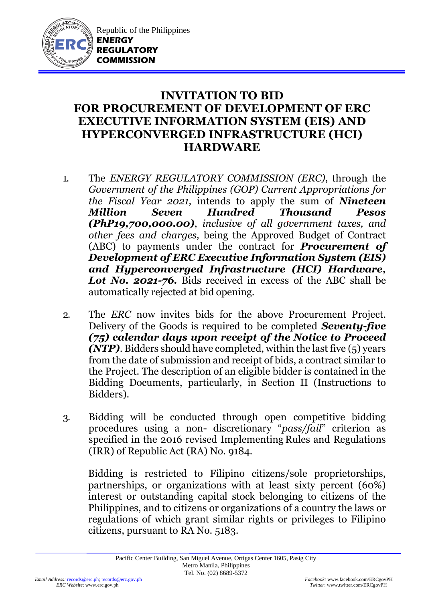

Republic of the Philippines **ENERGY REGULATORY COMMISSION**

## **INVITATION TO BID FOR PROCUREMENT OF DEVELOPMENT OF ERC EXECUTIVE INFORMATION SYSTEM (EIS) AND HYPERCONVERGED INFRASTRUCTURE (HCI) HARDWARE**

- 1. The *ENERGY REGULATORY COMMISSION (ERC)*, through the *Government of the Philippines (GOP) Current Appropriations for the Fiscal Year 2021,* intends to apply the sum of *Nineteen Million Seven Hundred Thousand Pesos (PhP19,700,000.00)*, *inclusive of all government taxes, and other fees and charges,* being the Approved Budget of Contract (ABC) to payments under the contract for *Procurement of Development of ERC Executive Information System (EIS) and Hyperconverged Infrastructure (HCI) Hardware, Lot No. 2021-76.* Bids received in excess of the ABC shall be automatically rejected at bid opening.
- 2. The *ERC* now invites bids for the above Procurement Project. Delivery of the Goods is required to be completed *Seventy-five (75) calendar days upon receipt of the Notice to Proceed (NTP)*. Bidders should have completed, within the last five (5) years from the date of submission and receipt of bids, a contract similar to the Project. The description of an eligible bidder is contained in the Bidding Documents, particularly, in Section II (Instructions to Bidders).
- 3. Bidding will be conducted through open competitive bidding procedures using a non- discretionary "*pass/fail*" criterion as specified in the 2016 revised Implementing Rules and Regulations (IRR) of Republic Act (RA) No. 9184.

Bidding is restricted to Filipino citizens/sole proprietorships, partnerships, or organizations with at least sixty percent (60%) interest or outstanding capital stock belonging to citizens of the Philippines, and to citizens or organizations of a country the laws or regulations of which grant similar rights or privileges to Filipino citizens, pursuant to RA No. 5183.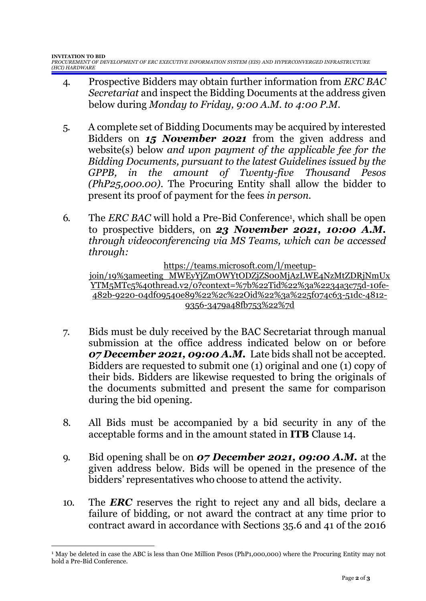- 4. Prospective Bidders may obtain further information from *ERC BAC Secretariat* and inspect the Bidding Documents at the address given below during *Monday to Friday, 9:00 A.M. to 4:00 P.M*.
- 5. A complete set of Bidding Documents may be acquired by interested Bidders on *15 November 2021* from the given address and website(s) below *and upon payment of the applicable fee for the Bidding Documents, pursuant to the latest Guidelines issued by the GPPB, in the amount of Twenty-five Thousand Pesos (PhP25,000.00)*. The Procuring Entity shall allow the bidder to present its proof of payment for the fees *in person.*
- 6. The *ERC BAC* will hold a Pre-Bid Conference<sup>1</sup>, which shall be open to prospective bidders, on *23 November 2021, 10:00 A.M. through videoconferencing via MS Teams, which can be accessed through:*

[https://teams.microsoft.com/l/meetup-](https://teams.microsoft.com/l/meetup-join/19%3ameeting_MWEyYjZmOWYtODZjZS00MjAzLWE4NzMtZDRjNmUxYTM5MTc5%40thread.v2/0?context=%7b%22Tid%22%3a%2234a3c75d-10fe-482b-9220-04df09540e89%22%2c%22Oid%22%3a%225f074c63-51dc-4812-9356-3479a48fb753%22%7d)

[join/19%3ameeting\\_MWEyYjZmOWYtODZjZS00MjAzLWE4NzMtZDRjNmUx](https://teams.microsoft.com/l/meetup-join/19%3ameeting_MWEyYjZmOWYtODZjZS00MjAzLWE4NzMtZDRjNmUxYTM5MTc5%40thread.v2/0?context=%7b%22Tid%22%3a%2234a3c75d-10fe-482b-9220-04df09540e89%22%2c%22Oid%22%3a%225f074c63-51dc-4812-9356-3479a48fb753%22%7d) [YTM5MTc5%40thread.v2/0?context=%7b%22Tid%22%3a%2234a3c75d-10fe-](https://teams.microsoft.com/l/meetup-join/19%3ameeting_MWEyYjZmOWYtODZjZS00MjAzLWE4NzMtZDRjNmUxYTM5MTc5%40thread.v2/0?context=%7b%22Tid%22%3a%2234a3c75d-10fe-482b-9220-04df09540e89%22%2c%22Oid%22%3a%225f074c63-51dc-4812-9356-3479a48fb753%22%7d)[482b-9220-04df09540e89%22%2c%22Oid%22%3a%225f074c63-51dc-4812-](https://teams.microsoft.com/l/meetup-join/19%3ameeting_MWEyYjZmOWYtODZjZS00MjAzLWE4NzMtZDRjNmUxYTM5MTc5%40thread.v2/0?context=%7b%22Tid%22%3a%2234a3c75d-10fe-482b-9220-04df09540e89%22%2c%22Oid%22%3a%225f074c63-51dc-4812-9356-3479a48fb753%22%7d) [9356-3479a48fb753%22%7d](https://teams.microsoft.com/l/meetup-join/19%3ameeting_MWEyYjZmOWYtODZjZS00MjAzLWE4NzMtZDRjNmUxYTM5MTc5%40thread.v2/0?context=%7b%22Tid%22%3a%2234a3c75d-10fe-482b-9220-04df09540e89%22%2c%22Oid%22%3a%225f074c63-51dc-4812-9356-3479a48fb753%22%7d)

- 7. Bids must be duly received by the BAC Secretariat through manual submission at the office address indicated below on or before *07 December 2021, 09:00 A.M.* Late bids shall not be accepted. Bidders are requested to submit one (1) original and one (1) copy of their bids. Bidders are likewise requested to bring the originals of the documents submitted and present the same for comparison during the bid opening.
- 8. All Bids must be accompanied by a bid security in any of the acceptable forms and in the amount stated in **ITB** Clause 14.
- 9. Bid opening shall be on *07 December 2021, 09:00 A.M.* at the given address below. Bids will be opened in the presence of the bidders' representatives who choose to attend the activity.
- 10. The *ERC* reserves the right to reject any and all bids, declare a failure of bidding, or not award the contract at any time prior to contract award in accordance with Sections 35.6 and 41 of the 2016

<sup>&</sup>lt;sup>1</sup> May be deleted in case the ABC is less than One Million Pesos (PhP1,000,000) where the Procuring Entity may not hold a Pre-Bid Conference.